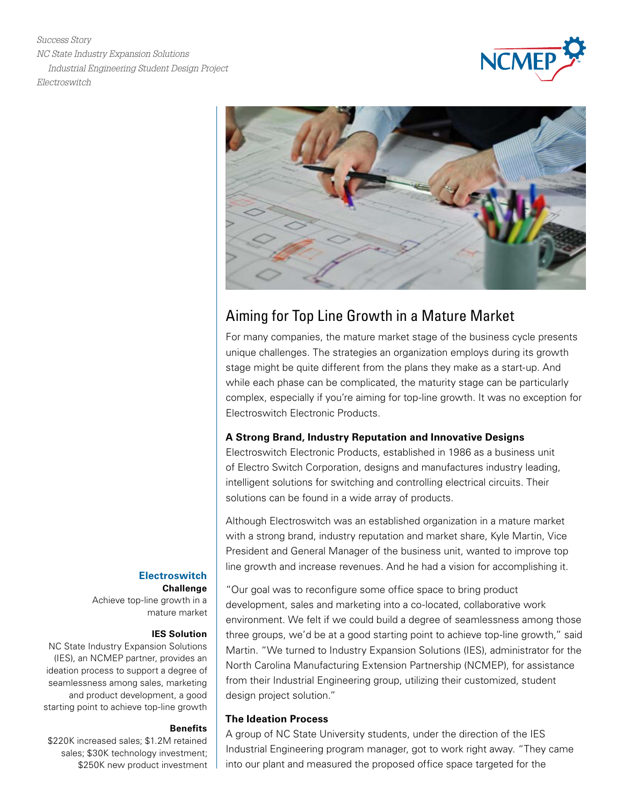*Success Story NC State Industry Expansion Solutions Industrial Engineering Student Design Project Electroswitch*





# Aiming for Top Line Growth in a Mature Market

For many companies, the mature market stage of the business cycle presents unique challenges. The strategies an organization employs during its growth stage might be quite different from the plans they make as a start-up. And while each phase can be complicated, the maturity stage can be particularly complex, especially if you're aiming for top-line growth. It was no exception for Electroswitch Electronic Products.

### **A Strong Brand, Industry Reputation and Innovative Designs**

Electroswitch Electronic Products, established in 1986 as a business unit of Electro Switch Corporation, designs and manufactures industry leading, intelligent solutions for switching and controlling electrical circuits. Their solutions can be found in a wide array of products.

Although Electroswitch was an established organization in a mature market with a strong brand, industry reputation and market share, Kyle Martin, Vice President and General Manager of the business unit, wanted to improve top line growth and increase revenues. And he had a vision for accomplishing it.

"Our goal was to reconfigure some office space to bring product development, sales and marketing into a co-located, collaborative work environment. We felt if we could build a degree of seamlessness among those three groups, we'd be at a good starting point to achieve top-line growth," said Martin. "We turned to Industry Expansion Solutions (IES), administrator for the North Carolina Manufacturing Extension Partnership (NCMEP), for assistance from their Industrial Engineering group, utilizing their customized, student design project solution."

## **The Ideation Process**

A group of NC State University students, under the direction of the IES Industrial Engineering program manager, got to work right away. "They came into our plant and measured the proposed office space targeted for the

# **Electroswitch**

**Challenge** Achieve top-line growth in a mature market

#### **IES Solution**

NC State Industry Expansion Solutions (IES), an NCMEP partner, provides an ideation process to support a degree of seamlessness among sales, marketing and product development, a good starting point to achieve top-line growth

#### **Benefits**

\$220K increased sales; \$1.2M retained sales; \$30K technology investment; \$250K new product investment